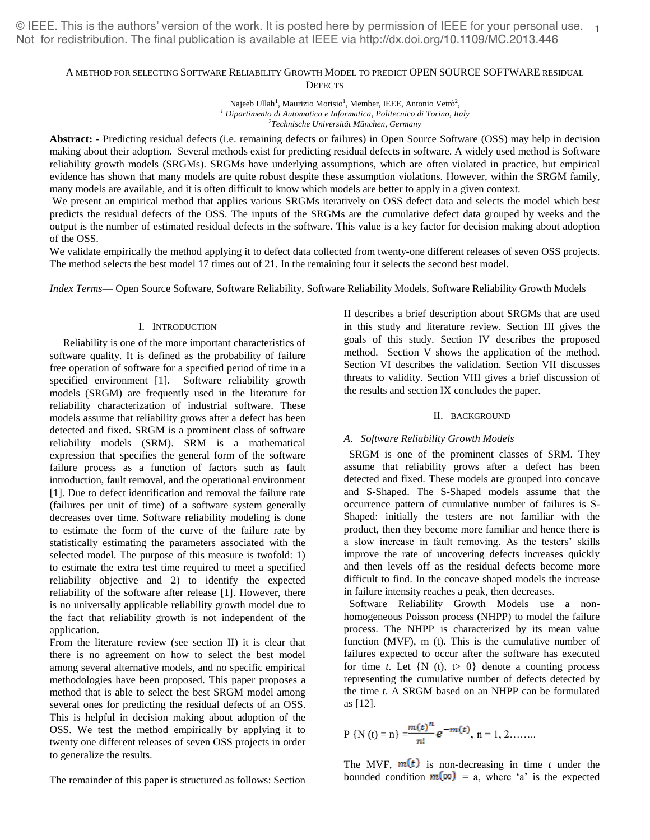© IEEE. This is the authors' version of the work. It is posted here by permission of IEEE for your personal use.  $\quad_1$ Not for redistribution. The final publication is available at IEEE via http://dx.doi.org/10.1109/MC.2013.446

# A METHOD FOR SELECTING SOFTWARE RELIABILITY GROWTH MODEL TO PREDICT OPEN SOURCE SOFTWARE RESIDUAL **DEFECTS**

Najeeb Ullah<sup>1</sup>, Maurizio Morisio<sup>1</sup>, Member, IEEE, Antonio Vetrò<sup>2</sup>, *<sup>1</sup> Dipartimento di Automatica e Informatica, Politecnico di Torino, Italy 2 Technische Universität München, Germany*

**Abstract: -** Predicting residual defects (i.e. remaining defects or failures) in Open Source Software (OSS) may help in decision making about their adoption. Several methods exist for predicting residual defects in software. A widely used method is Software reliability growth models (SRGMs). SRGMs have underlying assumptions, which are often violated in practice, but empirical evidence has shown that many models are quite robust despite these assumption violations. However, within the SRGM family, many models are available, and it is often difficult to know which models are better to apply in a given context.

We present an empirical method that applies various SRGMs iteratively on OSS defect data and selects the model which best predicts the residual defects of the OSS. The inputs of the SRGMs are the cumulative defect data grouped by weeks and the output is the number of estimated residual defects in the software. This value is a key factor for decision making about adoption of the OSS.

We validate empirically the method applying it to defect data collected from twenty-one different releases of seven OSS projects. The method selects the best model 17 times out of 21. In the remaining four it selects the second best model.

*Index Terms*— Open Source Software, Software Reliability, Software Reliability Models, Software Reliability Growth Models

### I. INTRODUCTION

 Reliability is one of the more important characteristics of software quality. It is defined as the probability of failure free operation of software for a specified period of time in a specified environment [1]. Software reliability growth models (SRGM) are frequently used in the literature for reliability characterization of industrial software. These models assume that reliability grows after a defect has been detected and fixed. SRGM is a prominent class of software reliability models (SRM). SRM is a mathematical expression that specifies the general form of the software failure process as a function of factors such as fault introduction, fault removal, and the operational environment [1]. Due to defect identification and removal the failure rate (failures per unit of time) of a software system generally decreases over time. Software reliability modeling is done to estimate the form of the curve of the failure rate by statistically estimating the parameters associated with the selected model. The purpose of this measure is twofold: 1) to estimate the extra test time required to meet a specified reliability objective and 2) to identify the expected reliability of the software after release [1]. However, there is no universally applicable reliability growth model due to the fact that reliability growth is not independent of the application.

From the literature review (see section [II\)](#page-0-0) it is clear that there is no agreement on how to select the best model among several alternative models, and no specific empirical methodologies have been proposed. This paper proposes a method that is able to select the best SRGM model among several ones for predicting the residual defects of an OSS. This is helpful in decision making about adoption of the OSS. We test the method empirically by applying it to twenty one different releases of seven OSS projects in order to generalize the results.

The remainder of this paper is structured as follows: Section

[II](#page-0-0) describes a brief description about SRGMs that are used in this study and literature review. Section [III](#page-2-0) gives the goals of this study. Section [IV](#page-2-1) describes the proposed method. Section [V](#page-4-0) shows the application of the method. Section [VI](#page-5-0) describes the validation. Section [VII](#page-6-0) discusses threats to validity. Section [VIII](#page-6-1) gives a brief discussion of the results and sectio[n IX](#page-6-2) concludes the paper.

#### II. BACKGROUND

#### <span id="page-0-1"></span><span id="page-0-0"></span>*A. Software Reliability Growth Models*

 SRGM is one of the prominent classes of SRM. They assume that reliability grows after a defect has been detected and fixed. These models are grouped into concave and S-Shaped. The S-Shaped models assume that the occurrence pattern of cumulative number of failures is S-Shaped: initially the testers are not familiar with the product, then they become more familiar and hence there is a slow increase in fault removing. As the testers' skills improve the rate of uncovering defects increases quickly and then levels off as the residual defects become more difficult to find. In the concave shaped models the increase in failure intensity reaches a peak, then decreases.

 Software Reliability Growth Models use a nonhomogeneous Poisson process (NHPP) to model the failure process. The NHPP is characterized by its mean value function (MVF), m (t). This is the cumulative number of failures expected to occur after the software has executed for time *t*. Let  $\{N(t), t > 0\}$  denote a counting process representing the cumulative number of defects detected by the time *t*. A SRGM based on an NHPP can be formulated as [12].

$$
P\{N(t) = n\} = \frac{m(t)^n}{n!}e^{-m(t)}, n = 1, 2, .......
$$

The MVF,  $m(t)$  is non-decreasing in time *t* under the bounded condition  $m(\infty) = a$ , where 'a' is the expected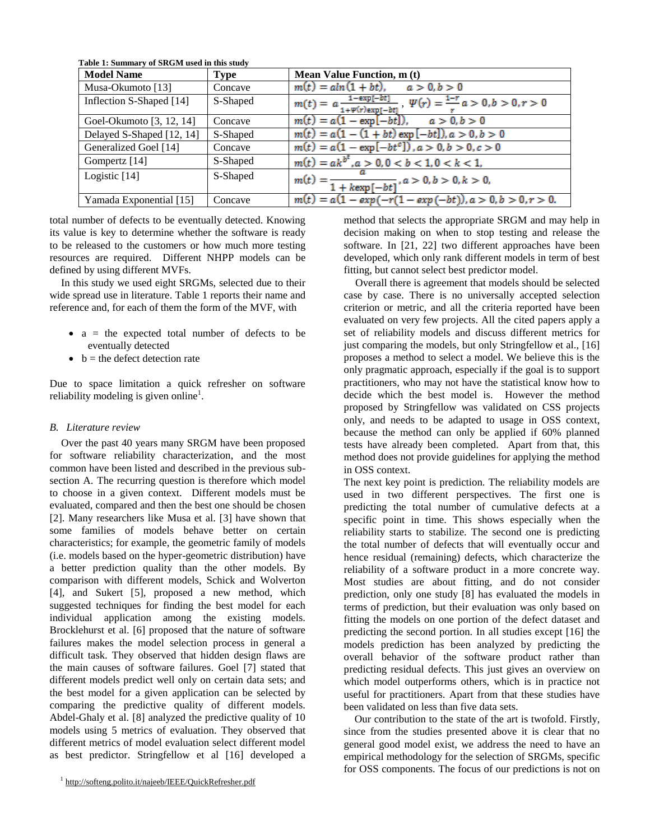| <b>Model Name</b>         | Type     | Mean Value Function, m (t)                                                                      |
|---------------------------|----------|-------------------------------------------------------------------------------------------------|
| Musa-Okumoto [13]         | Concave  | $m(t) = a ln(1 + bt)$ ,<br>a > 0, b > 0                                                         |
| Inflection S-Shaped [14]  | S-Shaped | $m(t) = a \frac{1-\exp[-bt]}{1+\Psi(r)\exp[-bt]}, \ \Psi(r) = \frac{1-r}{r}a > 0, b > 0, r > 0$ |
| Goel-Okumoto [3, 12, 14]  | Concave  | $m(t) = a(1 - \exp[-bt]), \quad a > 0, b > 0$                                                   |
| Delayed S-Shaped [12, 14] | S-Shaped | $m(t) = a(1 - (1 + bt) \exp[-bt]), a > 0, b > 0$                                                |
| Generalized Goel [14]     | Concave  | $m(t) = a(1 - \exp[-bt^c])$ , $a > 0$ , $b > 0$ , $c > 0$                                       |
| Gompertz [14]             | S-Shaped | $m(t) = ak^{b^t}, a > 0, 0 < b < 1, 0 < k < 1,$                                                 |
| Logistic $[14]$           | S-Shaped | $m(t) = \frac{1}{1 + k \exp[-bt]}, a > 0, b > 0, k > 0,$                                        |
| Yamada Exponential [15]   | Concave  | $m(t) = a(1 - exp(-r(1 - exp(-bt)), a > 0, b > 0, r > 0.$                                       |

<span id="page-1-0"></span> **Table 1: Summary of SRGM used in this study**

total number of defects to be eventually detected. Knowing its value is key to determine whether the software is ready to be released to the customers or how much more testing resources are required. Different NHPP models can be defined by using different MVFs.

In this study we used eight SRGMs, selected due to their wide spread use in literature. Table 1 reports their name and reference and, for each of them the form of the MVF, with

- $\bullet$  a = the expected total number of defects to be eventually detected
- $\bullet$  b = the defect detection rate

Due to space limitation a quick refresher on software reliability modeling is given online<sup>1</sup>.

## *B. Literature review*

Over the past 40 years many SRGM have been proposed for software reliability characterization, and the most common have been listed and described in the previous subsection [A.](#page-0-1) The recurring question is therefore which model to choose in a given context. Different models must be evaluated, compared and then the best one should be chosen [2]. Many researchers like Musa et al. [3] have shown that some families of models behave better on certain characteristics; for example, the geometric family of models (i.e. models based on the hyper-geometric distribution) have a better prediction quality than the other models. By comparison with different models, Schick and Wolverton [4], and Sukert [5], proposed a new method, which suggested techniques for finding the best model for each individual application among the existing models. Brocklehurst et al. [6] proposed that the nature of software failures makes the model selection process in general a difficult task. They observed that hidden design flaws are the main causes of software failures. Goel [7] stated that different models predict well only on certain data sets; and the best model for a given application can be selected by comparing the predictive quality of different models. Abdel-Ghaly et al. [8] analyzed the predictive quality of 10 models using 5 metrics of evaluation. They observed that different metrics of model evaluation select different model as best predictor. Stringfellow et al [16] developed a

method that selects the appropriate SRGM and may help in decision making on when to stop testing and release the software. In [21, 22] two different approaches have been developed, which only rank different models in term of best fitting, but cannot select best predictor model.

Overall there is agreement that models should be selected case by case. There is no universally accepted selection criterion or metric, and all the criteria reported have been evaluated on very few projects. All the cited papers apply a set of reliability models and discuss different metrics for just comparing the models, but only Stringfellow et al., [16] proposes a method to select a model. We believe this is the only pragmatic approach, especially if the goal is to support practitioners, who may not have the statistical know how to decide which the best model is. However the method proposed by Stringfellow was validated on CSS projects only, and needs to be adapted to usage in OSS context, because the method can only be applied if 60% planned tests have already been completed. Apart from that, this method does not provide guidelines for applying the method in OSS context.

The next key point is prediction. The reliability models are used in two different perspectives. The first one is predicting the total number of cumulative defects at a specific point in time. This shows especially when the reliability starts to stabilize. The second one is predicting the total number of defects that will eventually occur and hence residual (remaining) defects, which characterize the reliability of a software product in a more concrete way. Most studies are about fitting, and do not consider prediction, only one study [8] has evaluated the models in terms of prediction, but their evaluation was only based on fitting the models on one portion of the defect dataset and predicting the second portion. In all studies except [16] the models prediction has been analyzed by predicting the overall behavior of the software product rather than predicting residual defects. This just gives an overview on which model outperforms others, which is in practice not useful for practitioners. Apart from that these studies have been validated on less than five data sets.

Our contribution to the state of the art is twofold. Firstly, since from the studies presented above it is clear that no general good model exist, we address the need to have an empirical methodology for the selection of SRGMs, specific for OSS components. The focus of our predictions is not on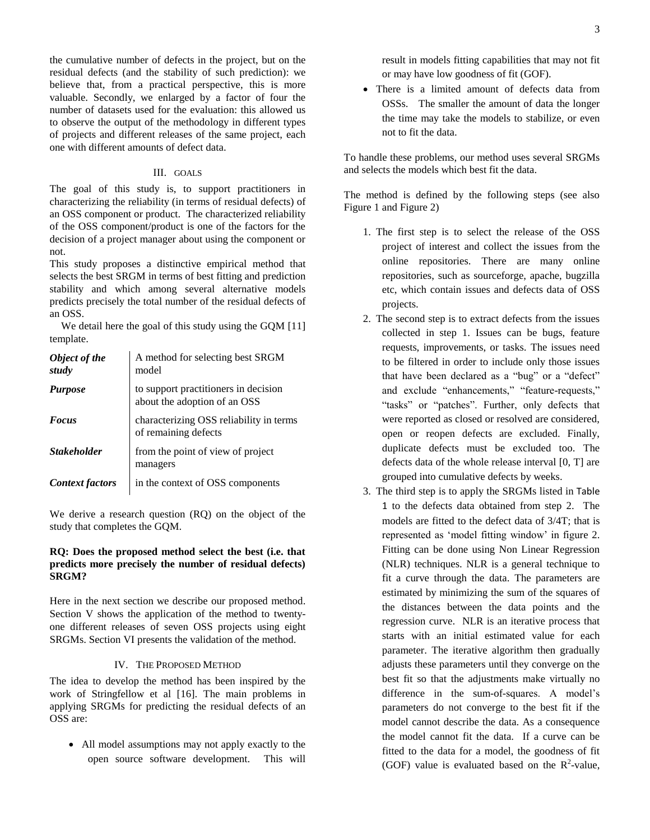the cumulative number of defects in the project, but on the residual defects (and the stability of such prediction): we believe that, from a practical perspective, this is more valuable. Secondly, we enlarged by a factor of four the number of datasets used for the evaluation: this allowed us to observe the output of the methodology in different types of projects and different releases of the same project, each one with different amounts of defect data.

## III. GOALS

<span id="page-2-0"></span>The goal of this study is, to support practitioners in characterizing the reliability (in terms of residual defects) of an OSS component or product. The characterized reliability of the OSS component/product is one of the factors for the decision of a project manager about using the component or not.

This study proposes a distinctive empirical method that selects the best SRGM in terms of best fitting and prediction stability and which among several alternative models predicts precisely the total number of the residual defects of an OSS.

We detail here the goal of this study using the GQM [11] template.

| Object of the<br>study | A method for selecting best SRGM<br>model                            |
|------------------------|----------------------------------------------------------------------|
| <b>Purpose</b>         | to support practitioners in decision<br>about the adoption of an OSS |
| <b>Focus</b>           | characterizing OSS reliability in terms<br>of remaining defects      |
| <b>Stakeholder</b>     | from the point of view of project<br>managers                        |
| <b>Context factors</b> | in the context of OSS components                                     |

We derive a research question (RQ) on the object of the study that completes the GQM.

# **RQ: Does the proposed method select the best (i.e. that predicts more precisely the number of residual defects) SRGM?**

Here in the next section we describe our proposed method. Section [V](#page-4-0) shows the application of the method to twentyone different releases of seven OSS projects using eight SRGMs. Section [VI](#page-5-0) presents the validation of the method.

# IV. THE PROPOSED METHOD

<span id="page-2-1"></span>The idea to develop the method has been inspired by the work of Stringfellow et al [16]. The main problems in applying SRGMs for predicting the residual defects of an OSS are:

• All model assumptions may not apply exactly to the open source software development. This will

result in models fitting capabilities that may not fit or may have low goodness of fit (GOF).

 There is a limited amount of defects data from OSSs. The smaller the amount of data the longer the time may take the models to stabilize, or even not to fit the data.

To handle these problems, our method uses several SRGMs and selects the models which best fit the data.

The method is defined by the following steps (see also Figure 1 and Figure 2)

- 1. The first step is to select the release of the OSS project of interest and collect the issues from the online repositories. There are many online repositories, such as sourceforge, apache, bugzilla etc, which contain issues and defects data of OSS projects.
- 2. The second step is to extract defects from the issues collected in step 1. Issues can be bugs, feature requests, improvements, or tasks. The issues need to be filtered in order to include only those issues that have been declared as a "bug" or a "defect" and exclude "enhancements," "feature-requests," "tasks" or "patches". Further, only defects that were reported as closed or resolved are considered, open or reopen defects are excluded. Finally, duplicate defects must be excluded too. The defects data of the whole release interval [0, T] are grouped into cumulative defects by weeks.
- 3. The third step is to apply the SRGMs listed in [Table](#page-1-0)  [1](#page-1-0) to the defects data obtained from step 2. The models are fitted to the defect data of 3/4T; that is represented as 'model fitting window' in figure 2. Fitting can be done using Non Linear Regression (NLR) techniques. NLR is a general technique to fit a curve through the data. The parameters are estimated by minimizing the sum of the squares of the distances between the data points and the regression curve. NLR is an iterative process that starts with an initial estimated value for each parameter. The iterative algorithm then gradually adjusts these parameters until they converge on the best fit so that the adjustments make virtually no difference in the sum-of-squares. A model's parameters do not converge to the best fit if the model cannot describe the data. As a consequence the model cannot fit the data. If a curve can be fitted to the data for a model, the goodness of fit (GOF) value is evaluated based on the  $R^2$ -value,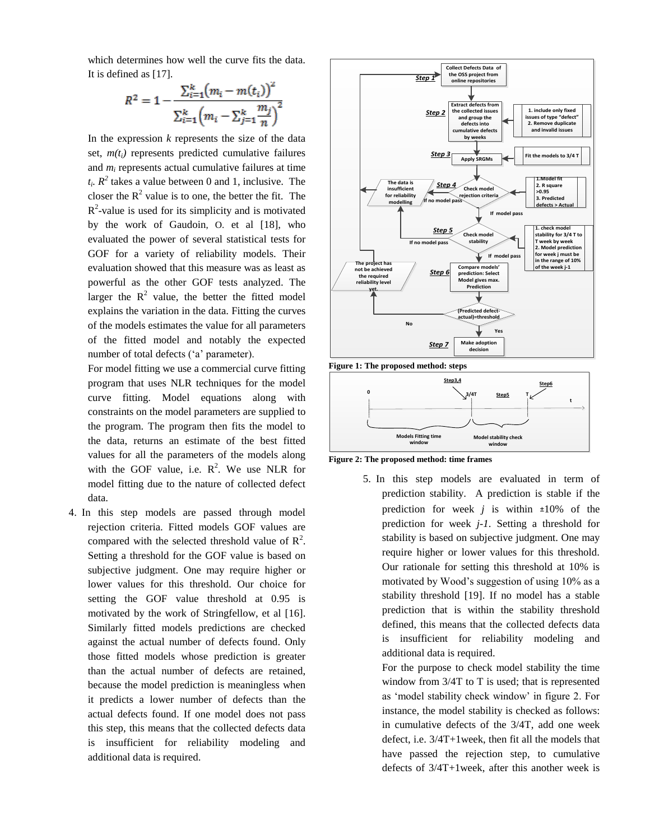which determines how well the curve fits the data. It is defined as [17].

$$
R^{2} = 1 - \frac{\sum_{i=1}^{k} (m_{i} - m(t_{i}))^{2}}{\sum_{i=1}^{k} (m_{i} - \sum_{j=1}^{k} \frac{m_{j}}{n})^{2}}
$$

In the expression  $k$  represents the size of the data set,  $m(t_i)$  represents predicted cumulative failures and *m<sup>i</sup>* represents actual cumulative failures at time  $t_i$ ,  $R^2$  takes a value between 0 and 1, inclusive. The closer the  $R^2$  value is to one, the better the fit. The  $R<sup>2</sup>$ -value is used for its simplicity and is motivated by the work of Gaudoin, O. et al [18], who evaluated the power of several statistical tests for GOF for a variety of reliability models. Their evaluation showed that this measure was as least as powerful as the other GOF tests analyzed. The larger the  $R^2$  value, the better the fitted model explains the variation in the data. Fitting the curves of the models estimates the value for all parameters of the fitted model and notably the expected number of total defects ('a' parameter).

For model fitting we use a commercial curve fitting program that uses NLR techniques for the model curve fitting. Model equations along with constraints on the model parameters are supplied to the program. The program then fits the model to the data, returns an estimate of the best fitted values for all the parameters of the models along with the GOF value, i.e.  $R^2$ . We use NLR for model fitting due to the nature of collected defect data.

4. In this step models are passed through model rejection criteria. Fitted models GOF values are compared with the selected threshold value of  $\mathbb{R}^2$ . Setting a threshold for the GOF value is based on subjective judgment. One may require higher or lower values for this threshold. Our choice for setting the GOF value threshold at 0.95 is motivated by the work of Stringfellow, et al [16]. Similarly fitted models predictions are checked against the actual number of defects found. Only those fitted models whose prediction is greater than the actual number of defects are retained, because the model prediction is meaningless when it predicts a lower number of defects than the actual defects found. If one model does not pass this step, this means that the collected defects data is insufficient for reliability modeling and additional data is required.



**Figure 2: The proposed method: time frames**

5. In this step models are evaluated in term of prediction stability. A prediction is stable if the prediction for week  $j$  is within  $\pm 10\%$  of the prediction for week *j-1*. Setting a threshold for stability is based on subjective judgment. One may require higher or lower values for this threshold. Our rationale for setting this threshold at 10% is motivated by Wood's suggestion of using 10% as a stability threshold [19]. If no model has a stable prediction that is within the stability threshold defined, this means that the collected defects data is insufficient for reliability modeling and additional data is required.

For the purpose to check model stability the time window from 3/4T to T is used; that is represented as 'model stability check window' in figure 2. For instance, the model stability is checked as follows: in cumulative defects of the 3/4T, add one week defect, i.e. 3/4T+1week, then fit all the models that have passed the rejection step, to cumulative defects of 3/4T+1week, after this another week is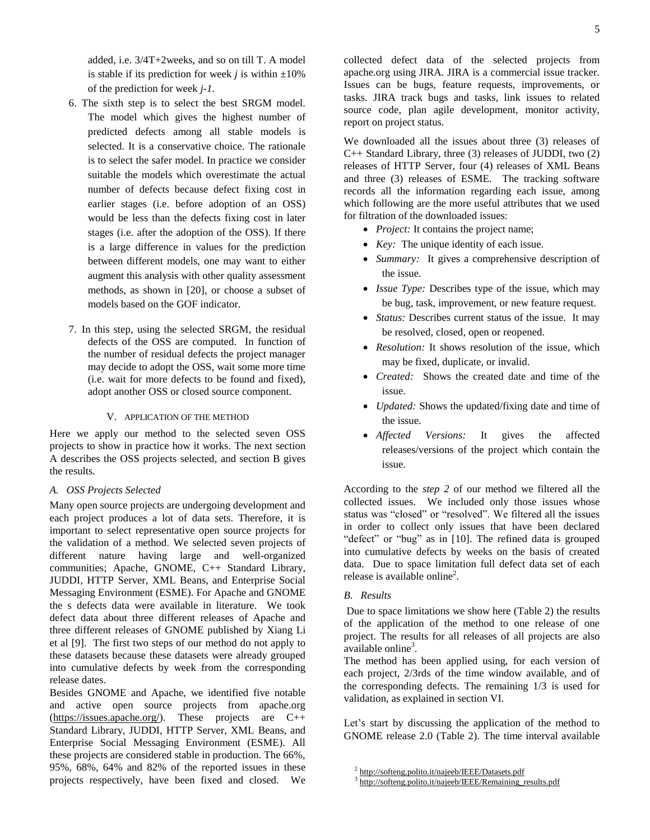added, i.e. 3/4T+2weeks, and so on till T. A model is stable if its prediction for week *j* is within  $\pm 10\%$ of the prediction for week *j-1*.

- 6. The sixth step is to select the best SRGM model. The model which gives the highest number of predicted defects among all stable models is selected. It is a conservative choice. The rationale is to select the safer model. In practice we consider suitable the models which overestimate the actual number of defects because defect fixing cost in earlier stages (i.e. before adoption of an OSS) would be less than the defects fixing cost in later stages (i.e. after the adoption of the OSS). If there is a large difference in values for the prediction between different models, one may want to either augment this analysis with other quality assessment methods, as shown in [20], or choose a subset of models based on the GOF indicator.
- 7. In this step, using the selected SRGM, the residual defects of the OSS are computed. In function of the number of residual defects the project manager may decide to adopt the OSS, wait some more time (i.e. wait for more defects to be found and fixed), adopt another OSS or closed source component.

## V. APPLICATION OF THE METHOD

<span id="page-4-0"></span>Here we apply our method to the selected seven OSS projects to show in practice how it works. The next section [A](#page-4-1) describes the OSS projects selected, and section [B](#page-4-2) gives the results.

## <span id="page-4-1"></span>*A. OSS Projects Selected*

Many open source projects are undergoing development and each project produces a lot of data sets. Therefore, it is important to select representative open source projects for the validation of a method. We selected seven projects of different nature having large and well-organized communities; Apache, GNOME, C++ Standard Library, JUDDI, HTTP Server, XML Beans, and Enterprise Social Messaging Environment (ESME). For Apache and GNOME the s defects data were available in literature. We took defect data about three different releases of Apache and three different releases of GNOME published by Xiang Li et al [9]. The first two steps of our method do not apply to these datasets because these datasets were already grouped into cumulative defects by week from the corresponding release dates.

Besides GNOME and Apache, we identified five notable and active open source projects from apache.org [\(https://issues.apache.org/\)](https://issues.apache.org/). These projects are C++ Standard Library, JUDDI, HTTP Server, XML Beans, and Enterprise Social Messaging Environment (ESME). All these projects are considered stable in production. The 66%, 95%, 68%, 64% and 82% of the reported issues in these projects respectively, have been fixed and closed. We collected defect data of the selected projects from apache.org using JIRA. JIRA is a commercial issue tracker. Issues can be bugs, feature requests, improvements, or tasks. JIRA track bugs and tasks, link issues to related source code, plan agile development, monitor activity, report on project status.

We downloaded all the issues about three (3) releases of C++ Standard Library, three (3) releases of JUDDI, two (2) releases of HTTP Server, four (4) releases of XML Beans and three (3) releases of ESME. The tracking software records all the information regarding each issue, among which following are the more useful attributes that we used for filtration of the downloaded issues:

- *Project:* It contains the project name;
- *Key:* The unique identity of each issue.
- *Summary:* It gives a comprehensive description of the issue.
- *Issue Type:* Describes type of the issue, which may be bug, task, improvement, or new feature request.
- *Status:* Describes current status of the issue. It may be resolved, closed, open or reopened.
- *Resolution:* It shows resolution of the issue, which may be fixed, duplicate, or invalid.
- *Created:* Shows the created date and time of the issue.
- *Updated:* Shows the updated/fixing date and time of the issue.
- *Affected Versions:* It gives the affected releases/versions of the project which contain the issue.

According to the *step 2* of our method we filtered all the collected issues. We included only those issues whose status was "closed" or "resolved". We filtered all the issues in order to collect only issues that have been declared "defect" or "bug" as in [10]. The refined data is grouped into cumulative defects by weeks on the basis of created data. Due to space limitation full defect data set of each release is available online<sup>2</sup>.

# <span id="page-4-2"></span>*B. Results*

Due to space limitations we show here [\(Table 2\)](#page-5-1) the results of the application of the method to one release of one project. The results for all releases of all projects are also  $a$ vailable online<sup>3</sup>.

The method has been applied using, for each version of each project, 2/3rds of the time window available, and of the corresponding defects. The remaining 1/3 is used for validation, as explained in section [VI.](#page-5-0)

Let's start by discussing the application of the method to GNOME release 2.0 (Table 2). The time interval available

<sup>&</sup>lt;sup>2</sup> <http://softeng.polito.it/najeeb/IEEE/Datasets.pdf>

<sup>&</sup>lt;sup>3</sup> [http://softeng.polito.it/najeeb/IEEE/Remaining\\_results.pdf](http://softeng.polito.it/najeeb/IEEE/Remaining_results.pdf)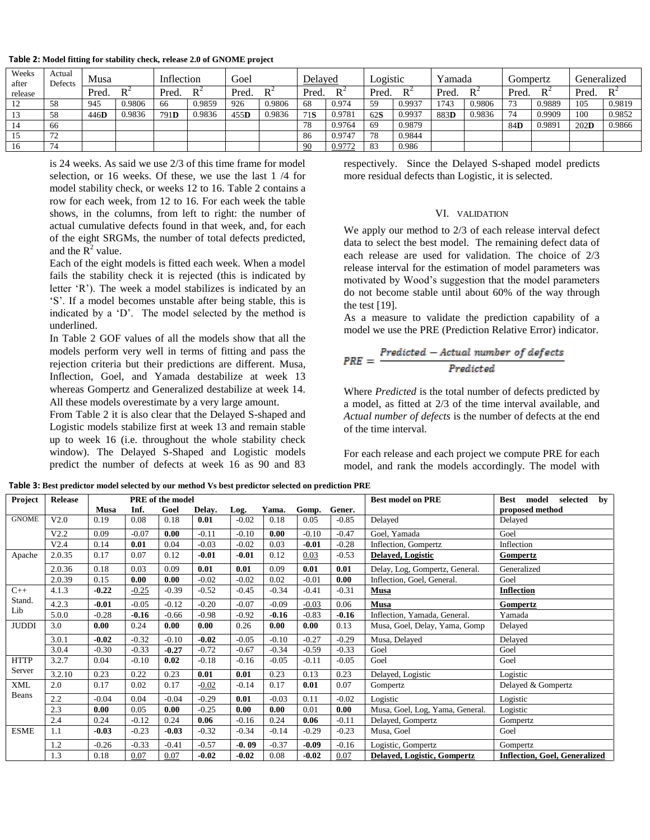<span id="page-5-1"></span> **Table 2: Model fitting for stability check, release 2.0 of GNOME project**

| Weeks<br>Actual<br>Defects<br>after |    | Musa         |        | Inflection |                | Goel  |        | Delayed |        | Logistic |        | Yamada |        | Gompertz    |        | Generalized |        |
|-------------------------------------|----|--------------|--------|------------|----------------|-------|--------|---------|--------|----------|--------|--------|--------|-------------|--------|-------------|--------|
| release                             |    | Pred.        | $R^2$  | Pred.      | $\mathbf{D}^2$ | Pred. | $R^2$  | Pred.   | $R^2$  | Pred.    | $R^2$  | Pred.  | $R^2$  | Pred.       | $R^2$  | Pred.       | $R^2$  |
| 12                                  | 58 | 945          | 0.9806 | 66         | 0.9859         | 926   | 0.9806 | 68      | 0.974  | 59       | 0.9937 | 1743   | 0.9806 | 73          | 0.9889 | 105         | 0.9819 |
| 13                                  | 58 | 446 <b>D</b> | 0.9836 | 791D       | 0.9836         | 455D  | 0.9836 | 71S     | 0.9781 | 62S      | 0.9937 | 883D   | 0.9836 | 74          | 0.9909 | 100         | 0.9852 |
| 14                                  | 66 |              |        |            |                |       |        | 78      | 0.9764 | 69       | 0.9879 |        |        | 84 <b>D</b> | 0.9891 | 202D        | 0.9866 |
| 15                                  | 70 |              |        |            |                |       |        | -86     | 0.9747 | 78       | 0.9844 |        |        |             |        |             |        |
| 16                                  | 74 |              |        |            |                |       |        | 90      | 0.9772 | 83       | 0.986  |        |        |             |        |             |        |

is 24 weeks. As said we use 2/3 of this time frame for model selection, or 16 weeks. Of these, we use the last 1 /4 for model stability check, or weeks 12 to 16. [Table 2](#page-5-1) contains a row for each week, from 12 to 16. For each week the table shows, in the columns, from left to right: the number of actual cumulative defects found in that week, and, for each of the eight SRGMs, the number of total defects predicted, and the  $\overline{R}^2$  value.

Each of the eight models is fitted each week. When a model fails the stability check it is rejected (this is indicated by letter 'R'). The week a model stabilizes is indicated by an 'S'. If a model becomes unstable after being stable, this is indicated by a 'D'. The model selected by the method is underlined.

In [Table 2](#page-5-1) GOF values of all the models show that all the models perform very well in terms of fitting and pass the rejection criteria but their predictions are different. Musa, Inflection, Goel, and Yamada destabilize at week 13 whereas Gompertz and Generalized destabilize at week 14. All these models overestimate by a very large amount.

From [Table 2](#page-5-1) it is also clear that the Delayed S-shaped and Logistic models stabilize first at week 13 and remain stable up to week 16 (i.e. throughout the whole stability check window). The Delayed S-Shaped and Logistic models predict the number of defects at week 16 as 90 and 83

respectively. Since the Delayed S-shaped model predicts more residual defects than Logistic, it is selected.

#### VI. VALIDATION

<span id="page-5-0"></span>We apply our method to 2/3 of each release interval defect data to select the best model. The remaining defect data of each release are used for validation. The choice of 2/3 release interval for the estimation of model parameters was motivated by Wood's suggestion that the model parameters do not become stable until about 60% of the way through the test [19].

As a measure to validate the prediction capability of a model we use the PRE (Prediction Relative Error) indicator.

$$
PRE = \frac{Predicted - Actual number of defects}{Predicted}
$$

Where *Predicted* is the total number of defects predicted by a model, as fitted at 2/3 of the time interval available, and *Actual number of defects* is the number of defects at the end of the time interval.

For each release and each project we compute PRE for each model, and rank the models accordingly. The model with

| Project      | <b>Release</b> | PRE of the model |         |         |         |         |         |         | <b>Best model on PRE</b> | <b>Best</b><br>model<br>selected<br>by |                                      |  |  |  |  |
|--------------|----------------|------------------|---------|---------|---------|---------|---------|---------|--------------------------|----------------------------------------|--------------------------------------|--|--|--|--|
|              |                | Musa             | Inf.    | Goel    | Delay.  | Log.    | Yama.   | Gomp.   | Gener.                   |                                        | proposed method                      |  |  |  |  |
| <b>GNOME</b> | V2.0           | 0.19             | 0.08    | 0.18    | 0.01    | $-0.02$ | 0.18    | 0.05    | $-0.85$                  | Delayed                                | Delayed                              |  |  |  |  |
|              | V2.2           | 0.09             | $-0.07$ | 0.00    | $-0.11$ | $-0.10$ | 0.00    | $-0.10$ | $-0.47$                  | Goel, Yamada                           | Goel                                 |  |  |  |  |
|              | V2.4           | 0.14             | 0.01    | 0.04    | $-0.03$ | $-0.02$ | 0.03    | $-0.01$ | $-0.28$                  | Inflection, Gompertz                   | Inflection                           |  |  |  |  |
| Apache       | 2.0.35         | 0.17             | 0.07    | 0.12    | $-0.01$ | $-0.01$ | 0.12    | 0.03    | $-0.53$                  | Delayed, Logistic                      | <b>Gompertz</b>                      |  |  |  |  |
|              | 2.0.36         | 0.18             | 0.03    | 0.09    | 0.01    | 0.01    | 0.09    | 0.01    | 0.01                     | Delay, Log, Gompertz, General.         | Generalized                          |  |  |  |  |
|              | 2.0.39         | 0.15             | 0.00    | 0.00    | $-0.02$ | $-0.02$ | 0.02    | $-0.01$ | 0.00                     | Inflection, Goel, General.             | Goel                                 |  |  |  |  |
| $C++$        | 4.1.3          | $-0.22$          | $-0.25$ | $-0.39$ | $-0.52$ | $-0.45$ | $-0.34$ | $-0.41$ | $-0.31$                  | <b>Musa</b>                            | <b>Inflection</b>                    |  |  |  |  |
| Stand.       | 4.2.3          | $-0.01$          | $-0.05$ | $-0.12$ | $-0.20$ | $-0.07$ | $-0.09$ | $-0.03$ | 0.06                     | <b>Musa</b>                            | <b>Gompertz</b>                      |  |  |  |  |
| Lib          | 5.0.0          | $-0.28$          | $-0.16$ | $-0.66$ | $-0.98$ | $-0.92$ | $-0.16$ | $-0.83$ | $-0.16$                  | Inflection, Yamada, General.           | Yamada                               |  |  |  |  |
| <b>JUDDI</b> | 3.0            | 0.00             | 0.24    | 0.00    | 0.00    | 0.26    | 0.00    | 0.00    | 0.13                     | Musa, Goel, Delay, Yama, Gomp          | Delayed                              |  |  |  |  |
|              | 3.0.1          | $-0.02$          | $-0.32$ | $-0.10$ | $-0.02$ | $-0.05$ | $-0.10$ | $-0.27$ | $-0.29$                  | Musa, Delayed                          | Delayed                              |  |  |  |  |
|              | 3.0.4          | $-0.30$          | $-0.33$ | $-0.27$ | $-0.72$ | $-0.67$ | $-0.34$ | $-0.59$ | $-0.33$                  | Goel                                   | Goel                                 |  |  |  |  |
| <b>HTTP</b>  | 3.2.7          | 0.04             | $-0.10$ | 0.02    | $-0.18$ | $-0.16$ | $-0.05$ | $-0.11$ | $-0.05$                  | Goel                                   | Goel                                 |  |  |  |  |
| Server       | 3.2.10         | 0.23             | 0.22    | 0.23    | 0.01    | 0.01    | 0.23    | 0.13    | 0.23                     | Delayed, Logistic                      | Logistic                             |  |  |  |  |
| <b>XML</b>   | 2.0            | 0.17             | 0.02    | 0.17    | $-0.02$ | $-0.14$ | 0.17    | 0.01    | 0.07                     | Gompertz                               | Delayed & Gompertz                   |  |  |  |  |
| Beans        | 2.2            | $-0.04$          | 0.04    | $-0.04$ | $-0.29$ | 0.01    | $-0.03$ | 0.11    | $-0.02$                  | Logistic                               | Logistic                             |  |  |  |  |
|              | 2.3            | 0.00             | 0.05    | 0.00    | $-0.25$ | 0.00    | 0.00    | 0.01    | 0.00                     | Musa, Goel, Log, Yama, General.        | Logistic                             |  |  |  |  |
|              | 2.4            | 0.24             | $-0.12$ | 0.24    | 0.06    | $-0.16$ | 0.24    | 0.06    | $-0.11$                  | Delayed, Gompertz                      | Gompertz                             |  |  |  |  |
| <b>ESME</b>  | 1.1            | $-0.03$          | $-0.23$ | $-0.03$ | $-0.32$ | $-0.34$ | $-0.14$ | $-0.29$ | $-0.23$                  | Musa, Goel                             | Goel                                 |  |  |  |  |
|              | 1.2            | $-0.26$          | $-0.33$ | $-0.41$ | $-0.57$ | $-0.09$ | $-0.37$ | $-0.09$ | $-0.16$                  | Logistic, Gompertz                     | Gompertz                             |  |  |  |  |
|              | 1.3            | 0.18             | 0.07    | 0.07    | $-0.02$ | $-0.02$ | 0.08    | $-0.02$ | 0.07                     | Delayed, Logistic, Gompertz            | <b>Inflection, Goel, Generalized</b> |  |  |  |  |

<span id="page-5-2"></span>**Table 3: Best predictor model selected by our method Vs best predictor selected on prediction PRE**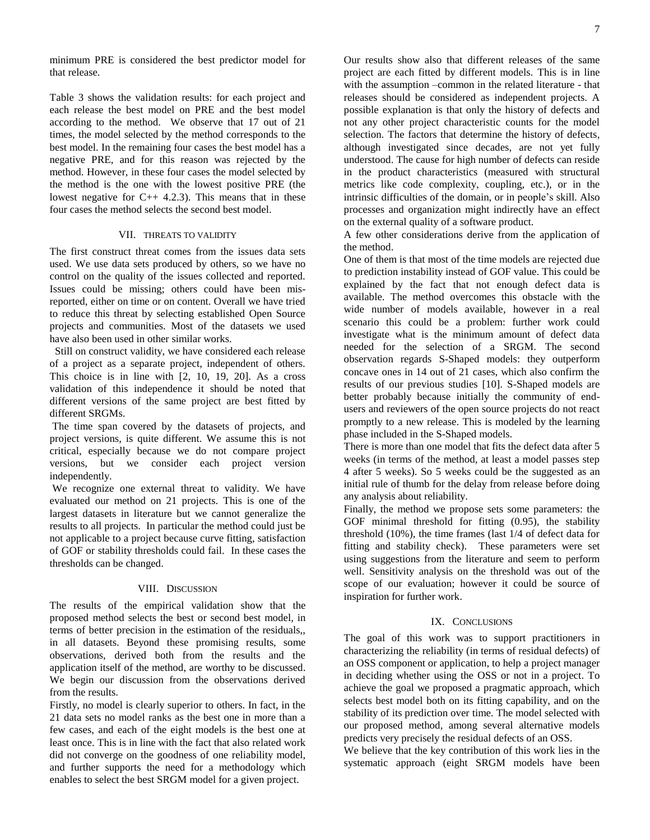minimum PRE is considered the best predictor model for that release.

[Table 3](#page-5-2) shows the validation results: for each project and each release the best model on PRE and the best model according to the method. We observe that 17 out of 21 times, the model selected by the method corresponds to the best model. In the remaining four cases the best model has a negative PRE, and for this reason was rejected by the method. However, in these four cases the model selected by the method is the one with the lowest positive PRE (the lowest negative for  $C_{++}$  4.2.3). This means that in these four cases the method selects the second best model.

## VII. THREATS TO VALIDITY

<span id="page-6-0"></span>The first construct threat comes from the issues data sets used. We use data sets produced by others, so we have no control on the quality of the issues collected and reported. Issues could be missing; others could have been misreported, either on time or on content. Overall we have tried to reduce this threat by selecting established Open Source projects and communities. Most of the datasets we used have also been used in other similar works.

 Still on construct validity, we have considered each release of a project as a separate project, independent of others. This choice is in line with [2, 10, 19, 20]. As a cross validation of this independence it should be noted that different versions of the same project are best fitted by different SRGMs.

The time span covered by the datasets of projects, and project versions, is quite different. We assume this is not critical, especially because we do not compare project versions, but we consider each project version independently.

We recognize one external threat to validity. We have evaluated our method on 21 projects. This is one of the largest datasets in literature but we cannot generalize the results to all projects. In particular the method could just be not applicable to a project because curve fitting, satisfaction of GOF or stability thresholds could fail. In these cases the thresholds can be changed.

#### VIII. DISCUSSION

<span id="page-6-1"></span>The results of the empirical validation show that the proposed method selects the best or second best model, in terms of better precision in the estimation of the residuals,, in all datasets. Beyond these promising results, some observations, derived both from the results and the application itself of the method, are worthy to be discussed. We begin our discussion from the observations derived from the results.

Firstly, no model is clearly superior to others. In fact, in the 21 data sets no model ranks as the best one in more than a few cases, and each of the eight models is the best one at least once. This is in line with the fact that also related work did not converge on the goodness of one reliability model, and further supports the need for a methodology which enables to select the best SRGM model for a given project.

project are each fitted by different models. This is in line with the assumption –common in the related literature - that releases should be considered as independent projects. A possible explanation is that only the history of defects and not any other project characteristic counts for the model selection. The factors that determine the history of defects, although investigated since decades, are not yet fully understood. The cause for high number of defects can reside in the product characteristics (measured with structural metrics like code complexity, coupling, etc.), or in the intrinsic difficulties of the domain, or in people's skill. Also processes and organization might indirectly have an effect on the external quality of a software product.

A few other considerations derive from the application of the method.

One of them is that most of the time models are rejected due to prediction instability instead of GOF value. This could be explained by the fact that not enough defect data is available. The method overcomes this obstacle with the wide number of models available, however in a real scenario this could be a problem: further work could investigate what is the minimum amount of defect data needed for the selection of a SRGM. The second observation regards S-Shaped models: they outperform concave ones in 14 out of 21 cases, which also confirm the results of our previous studies [10]. S-Shaped models are better probably because initially the community of endusers and reviewers of the open source projects do not react promptly to a new release. This is modeled by the learning phase included in the S-Shaped models.

There is more than one model that fits the defect data after 5 weeks (in terms of the method, at least a model passes step 4 after 5 weeks). So 5 weeks could be the suggested as an initial rule of thumb for the delay from release before doing any analysis about reliability.

Finally, the method we propose sets some parameters: the GOF minimal threshold for fitting (0.95), the stability threshold (10%), the time frames (last 1/4 of defect data for fitting and stability check). These parameters were set using suggestions from the literature and seem to perform well. Sensitivity analysis on the threshold was out of the scope of our evaluation; however it could be source of inspiration for further work.

### IX. CONCLUSIONS

<span id="page-6-2"></span>The goal of this work was to support practitioners in characterizing the reliability (in terms of residual defects) of an OSS component or application, to help a project manager in deciding whether using the OSS or not in a project. To achieve the goal we proposed a pragmatic approach, which selects best model both on its fitting capability, and on the stability of its prediction over time. The model selected with our proposed method, among several alternative models predicts very precisely the residual defects of an OSS.

We believe that the key contribution of this work lies in the systematic approach (eight SRGM models have been